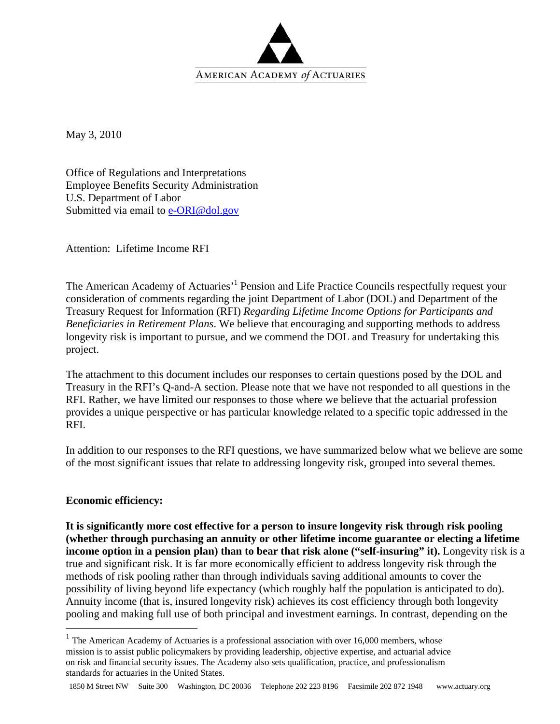

May 3, 2010

Office of Regulations and Interpretations Employee Benefits Security Administration U.S. Department of Labor Submitted via email to e-ORI@dol.gov

Attention: Lifetime Income RFI

The American Academy of Actuaries<sup>, 1</sup> Pension and Life Practice Councils respectfully request your consideration of comments regarding the joint Department of Labor (DOL) and Department of the Treasury Request for Information (RFI) *Regarding Lifetime Income Options for Participants and Beneficiaries in Retirement Plans*. We believe that encouraging and supporting methods to address longevity risk is important to pursue, and we commend the DOL and Treasury for undertaking this project.

The attachment to this document includes our responses to certain questions posed by the DOL and Treasury in the RFI's Q-and-A section. Please note that we have not responded to all questions in the RFI. Rather, we have limited our responses to those where we believe that the actuarial profession provides a unique perspective or has particular knowledge related to a specific topic addressed in the RFI.

In addition to our responses to the RFI questions, we have summarized below what we believe are some of the most significant issues that relate to addressing longevity risk, grouped into several themes.

# **Economic efficiency:**

1

**It is significantly more cost effective for a person to insure longevity risk through risk pooling (whether through purchasing an annuity or other lifetime income guarantee or electing a lifetime income option in a pension plan) than to bear that risk alone ("self-insuring" it).** Longevity risk is a true and significant risk. It is far more economically efficient to address longevity risk through the methods of risk pooling rather than through individuals saving additional amounts to cover the possibility of living beyond life expectancy (which roughly half the population is anticipated to do). Annuity income (that is, insured longevity risk) achieves its cost efficiency through both longevity pooling and making full use of both principal and investment earnings. In contrast, depending on the

 $1$  The American Academy of Actuaries is a professional association with over 16,000 members, whose mission is to assist public policymakers by providing leadership, objective expertise, and actuarial advice on risk and financial security issues. The Academy also sets qualification, practice, and professionalism standards for actuaries in the United States.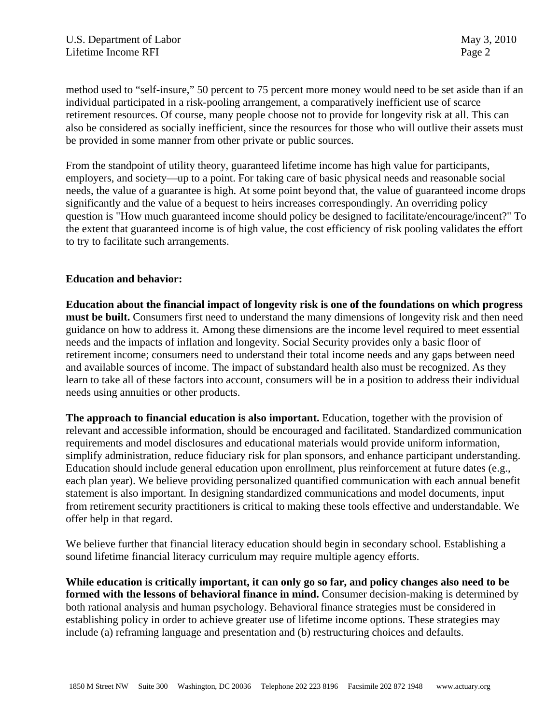method used to "self-insure," 50 percent to 75 percent more money would need to be set aside than if an individual participated in a risk-pooling arrangement, a comparatively inefficient use of scarce retirement resources. Of course, many people choose not to provide for longevity risk at all. This can also be considered as socially inefficient, since the resources for those who will outlive their assets must be provided in some manner from other private or public sources.

From the standpoint of utility theory, guaranteed lifetime income has high value for participants, employers, and society—up to a point. For taking care of basic physical needs and reasonable social needs, the value of a guarantee is high. At some point beyond that, the value of guaranteed income drops significantly and the value of a bequest to heirs increases correspondingly. An overriding policy question is "How much guaranteed income should policy be designed to facilitate/encourage/incent?" To the extent that guaranteed income is of high value, the cost efficiency of risk pooling validates the effort to try to facilitate such arrangements.

# **Education and behavior:**

**Education about the financial impact of longevity risk is one of the foundations on which progress must be built.** Consumers first need to understand the many dimensions of longevity risk and then need guidance on how to address it. Among these dimensions are the income level required to meet essential needs and the impacts of inflation and longevity. Social Security provides only a basic floor of retirement income; consumers need to understand their total income needs and any gaps between need and available sources of income. The impact of substandard health also must be recognized. As they learn to take all of these factors into account, consumers will be in a position to address their individual needs using annuities or other products.

**The approach to financial education is also important.** Education, together with the provision of relevant and accessible information, should be encouraged and facilitated. Standardized communication requirements and model disclosures and educational materials would provide uniform information, simplify administration, reduce fiduciary risk for plan sponsors, and enhance participant understanding. Education should include general education upon enrollment, plus reinforcement at future dates (e.g., each plan year). We believe providing personalized quantified communication with each annual benefit statement is also important. In designing standardized communications and model documents, input from retirement security practitioners is critical to making these tools effective and understandable. We offer help in that regard.

We believe further that financial literacy education should begin in secondary school. Establishing a sound lifetime financial literacy curriculum may require multiple agency efforts.

**While education is critically important, it can only go so far, and policy changes also need to be formed with the lessons of behavioral finance in mind.** Consumer decision-making is determined by both rational analysis and human psychology. Behavioral finance strategies must be considered in establishing policy in order to achieve greater use of lifetime income options. These strategies may include (a) reframing language and presentation and (b) restructuring choices and defaults.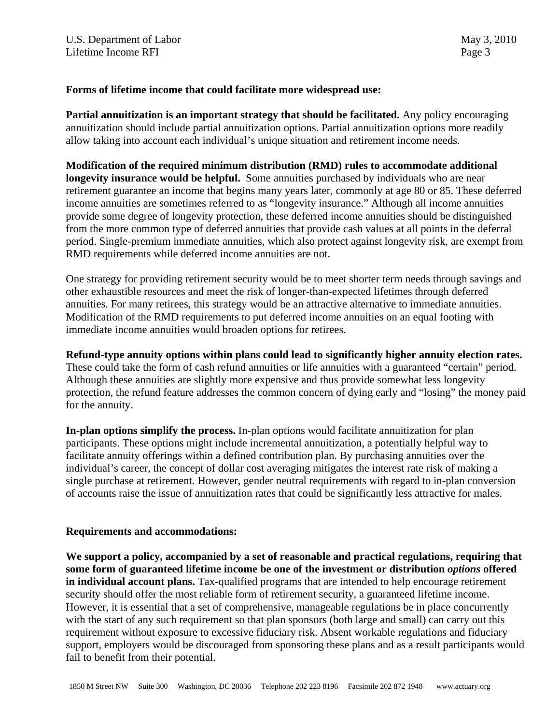# **Forms of lifetime income that could facilitate more widespread use:**

**Partial annuitization is an important strategy that should be facilitated.** Any policy encouraging annuitization should include partial annuitization options. Partial annuitization options more readily allow taking into account each individual's unique situation and retirement income needs.

**Modification of the required minimum distribution (RMD) rules to accommodate additional longevity insurance would be helpful.** Some annuities purchased by individuals who are near retirement guarantee an income that begins many years later, commonly at age 80 or 85. These deferred income annuities are sometimes referred to as "longevity insurance." Although all income annuities provide some degree of longevity protection, these deferred income annuities should be distinguished from the more common type of deferred annuities that provide cash values at all points in the deferral period. Single-premium immediate annuities, which also protect against longevity risk, are exempt from RMD requirements while deferred income annuities are not.

One strategy for providing retirement security would be to meet shorter term needs through savings and other exhaustible resources and meet the risk of longer-than-expected lifetimes through deferred annuities. For many retirees, this strategy would be an attractive alternative to immediate annuities. Modification of the RMD requirements to put deferred income annuities on an equal footing with immediate income annuities would broaden options for retirees.

**Refund-type annuity options within plans could lead to significantly higher annuity election rates.**  These could take the form of cash refund annuities or life annuities with a guaranteed "certain" period. Although these annuities are slightly more expensive and thus provide somewhat less longevity protection, the refund feature addresses the common concern of dying early and "losing" the money paid for the annuity.

**In-plan options simplify the process.** In-plan options would facilitate annuitization for plan participants. These options might include incremental annuitization, a potentially helpful way to facilitate annuity offerings within a defined contribution plan. By purchasing annuities over the individual's career, the concept of dollar cost averaging mitigates the interest rate risk of making a single purchase at retirement. However, gender neutral requirements with regard to in-plan conversion of accounts raise the issue of annuitization rates that could be significantly less attractive for males.

# **Requirements and accommodations:**

**We support a policy, accompanied by a set of reasonable and practical regulations, requiring that some form of guaranteed lifetime income be one of the investment or distribution** *options* **offered in individual account plans.** Tax-qualified programs that are intended to help encourage retirement security should offer the most reliable form of retirement security, a guaranteed lifetime income. However, it is essential that a set of comprehensive, manageable regulations be in place concurrently with the start of any such requirement so that plan sponsors (both large and small) can carry out this requirement without exposure to excessive fiduciary risk. Absent workable regulations and fiduciary support, employers would be discouraged from sponsoring these plans and as a result participants would fail to benefit from their potential.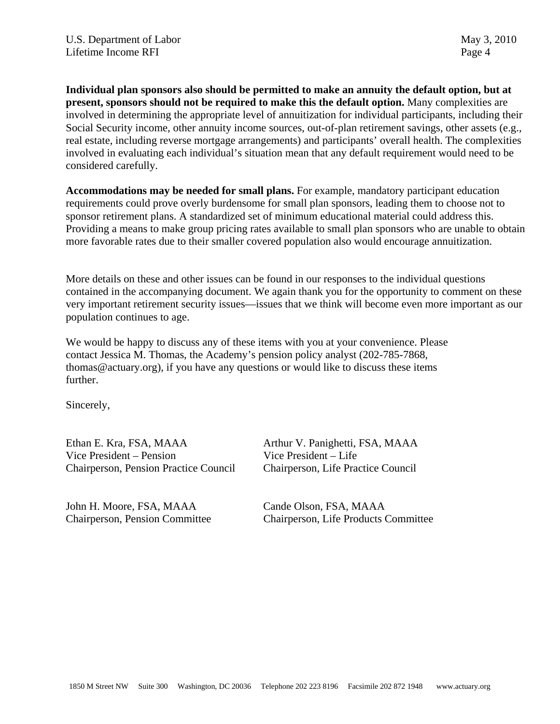**Individual plan sponsors also should be permitted to make an annuity the default option, but at present, sponsors should not be required to make this the default option.** Many complexities are involved in determining the appropriate level of annuitization for individual participants, including their Social Security income, other annuity income sources, out-of-plan retirement savings, other assets (e.g., real estate, including reverse mortgage arrangements) and participants' overall health. The complexities involved in evaluating each individual's situation mean that any default requirement would need to be considered carefully.

**Accommodations may be needed for small plans.** For example, mandatory participant education requirements could prove overly burdensome for small plan sponsors, leading them to choose not to sponsor retirement plans. A standardized set of minimum educational material could address this. Providing a means to make group pricing rates available to small plan sponsors who are unable to obtain more favorable rates due to their smaller covered population also would encourage annuitization.

More details on these and other issues can be found in our responses to the individual questions contained in the accompanying document. We again thank you for the opportunity to comment on these very important retirement security issues—issues that we think will become even more important as our population continues to age.

We would be happy to discuss any of these items with you at your convenience. Please contact Jessica M. Thomas, the Academy's pension policy analyst (202-785-7868, thomas@actuary.org), if you have any questions or would like to discuss these items further.

Sincerely,

Vice President – Pension Vice President – Life Chairperson, Pension Practice Council Chairperson, Life Practice Council

John H. Moore, FSA, MAAA Cande Olson, FSA, MAAA

Ethan E. Kra, FSA, MAAA Arthur V. Panighetti, FSA, MAAA

Chairperson, Pension Committee Chairperson, Life Products Committee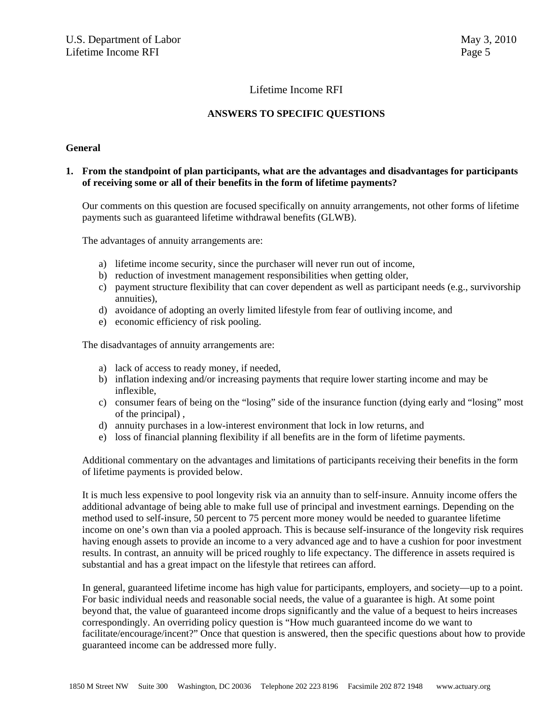# Lifetime Income RFI

## **ANSWERS TO SPECIFIC QUESTIONS**

#### **General**

#### **1. From the standpoint of plan participants, what are the advantages and disadvantages for participants of receiving some or all of their benefits in the form of lifetime payments?**

Our comments on this question are focused specifically on annuity arrangements, not other forms of lifetime payments such as guaranteed lifetime withdrawal benefits (GLWB).

The advantages of annuity arrangements are:

- a) lifetime income security, since the purchaser will never run out of income,
- b) reduction of investment management responsibilities when getting older,
- c) payment structure flexibility that can cover dependent as well as participant needs (e.g., survivorship annuities),
- d) avoidance of adopting an overly limited lifestyle from fear of outliving income, and
- e) economic efficiency of risk pooling.

The disadvantages of annuity arrangements are:

- a) lack of access to ready money, if needed,
- b) inflation indexing and/or increasing payments that require lower starting income and may be inflexible,
- c) consumer fears of being on the "losing" side of the insurance function (dying early and "losing" most of the principal) ,
- d) annuity purchases in a low-interest environment that lock in low returns, and
- e) loss of financial planning flexibility if all benefits are in the form of lifetime payments.

Additional commentary on the advantages and limitations of participants receiving their benefits in the form of lifetime payments is provided below.

It is much less expensive to pool longevity risk via an annuity than to self-insure. Annuity income offers the additional advantage of being able to make full use of principal and investment earnings. Depending on the method used to self-insure, 50 percent to 75 percent more money would be needed to guarantee lifetime income on one's own than via a pooled approach. This is because self-insurance of the longevity risk requires having enough assets to provide an income to a very advanced age and to have a cushion for poor investment results. In contrast, an annuity will be priced roughly to life expectancy. The difference in assets required is substantial and has a great impact on the lifestyle that retirees can afford.

In general, guaranteed lifetime income has high value for participants, employers, and society—up to a point. For basic individual needs and reasonable social needs, the value of a guarantee is high. At some point beyond that, the value of guaranteed income drops significantly and the value of a bequest to heirs increases correspondingly. An overriding policy question is "How much guaranteed income do we want to facilitate/encourage/incent?" Once that question is answered, then the specific questions about how to provide guaranteed income can be addressed more fully.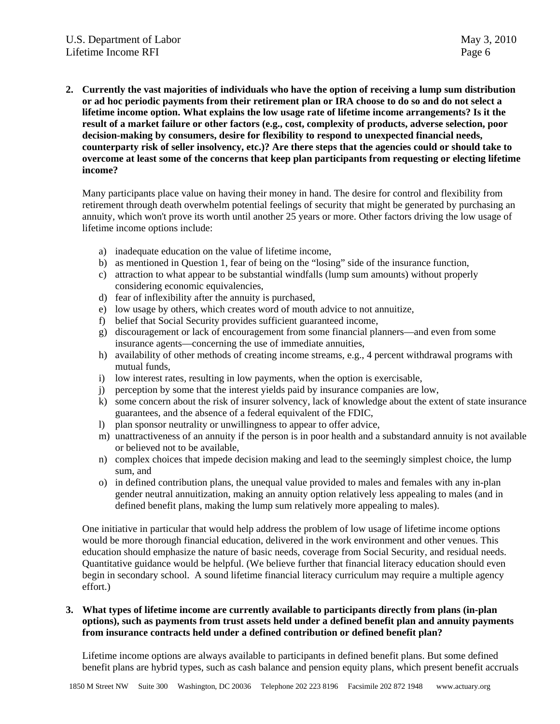**2. Currently the vast majorities of individuals who have the option of receiving a lump sum distribution or ad hoc periodic payments from their retirement plan or IRA choose to do so and do not select a lifetime income option. What explains the low usage rate of lifetime income arrangements? Is it the result of a market failure or other factors (e.g., cost, complexity of products, adverse selection, poor decision-making by consumers, desire for flexibility to respond to unexpected financial needs, counterparty risk of seller insolvency, etc.)? Are there steps that the agencies could or should take to overcome at least some of the concerns that keep plan participants from requesting or electing lifetime income?** 

Many participants place value on having their money in hand. The desire for control and flexibility from retirement through death overwhelm potential feelings of security that might be generated by purchasing an annuity, which won't prove its worth until another 25 years or more. Other factors driving the low usage of lifetime income options include:

- a) inadequate education on the value of lifetime income,
- b) as mentioned in Question 1, fear of being on the "losing" side of the insurance function,
- c) attraction to what appear to be substantial windfalls (lump sum amounts) without properly considering economic equivalencies,
- d) fear of inflexibility after the annuity is purchased,
- e) low usage by others, which creates word of mouth advice to not annuitize,
- f) belief that Social Security provides sufficient guaranteed income,
- g) discouragement or lack of encouragement from some financial planners—and even from some insurance agents—concerning the use of immediate annuities,
- h) availability of other methods of creating income streams, e.g., 4 percent withdrawal programs with mutual funds,
- i) low interest rates, resulting in low payments, when the option is exercisable,
- j) perception by some that the interest yields paid by insurance companies are low,
- k) some concern about the risk of insurer solvency, lack of knowledge about the extent of state insurance guarantees, and the absence of a federal equivalent of the FDIC,
- l) plan sponsor neutrality or unwillingness to appear to offer advice,
- m) unattractiveness of an annuity if the person is in poor health and a substandard annuity is not available or believed not to be available,
- n) complex choices that impede decision making and lead to the seemingly simplest choice, the lump sum, and
- o) in defined contribution plans, the unequal value provided to males and females with any in-plan gender neutral annuitization, making an annuity option relatively less appealing to males (and in defined benefit plans, making the lump sum relatively more appealing to males).

One initiative in particular that would help address the problem of low usage of lifetime income options would be more thorough financial education, delivered in the work environment and other venues. This education should emphasize the nature of basic needs, coverage from Social Security, and residual needs. Quantitative guidance would be helpful. (We believe further that financial literacy education should even begin in secondary school. A sound lifetime financial literacy curriculum may require a multiple agency effort.)

## **3. What types of lifetime income are currently available to participants directly from plans (in-plan options), such as payments from trust assets held under a defined benefit plan and annuity payments from insurance contracts held under a defined contribution or defined benefit plan?**

Lifetime income options are always available to participants in defined benefit plans. But some defined benefit plans are hybrid types, such as cash balance and pension equity plans, which present benefit accruals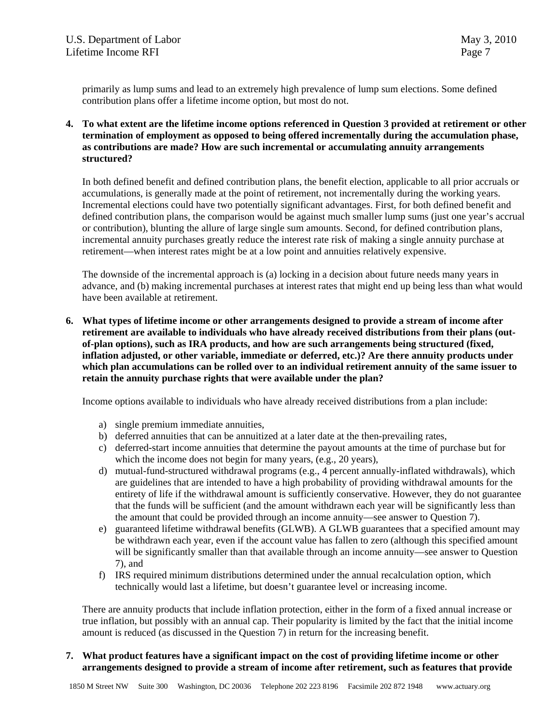primarily as lump sums and lead to an extremely high prevalence of lump sum elections. Some defined contribution plans offer a lifetime income option, but most do not.

**4. To what extent are the lifetime income options referenced in Question 3 provided at retirement or other termination of employment as opposed to being offered incrementally during the accumulation phase, as contributions are made? How are such incremental or accumulating annuity arrangements structured?** 

In both defined benefit and defined contribution plans, the benefit election, applicable to all prior accruals or accumulations, is generally made at the point of retirement, not incrementally during the working years. Incremental elections could have two potentially significant advantages. First, for both defined benefit and defined contribution plans, the comparison would be against much smaller lump sums (just one year's accrual or contribution), blunting the allure of large single sum amounts. Second, for defined contribution plans, incremental annuity purchases greatly reduce the interest rate risk of making a single annuity purchase at retirement—when interest rates might be at a low point and annuities relatively expensive.

The downside of the incremental approach is (a) locking in a decision about future needs many years in advance, and (b) making incremental purchases at interest rates that might end up being less than what would have been available at retirement.

**6. What types of lifetime income or other arrangements designed to provide a stream of income after retirement are available to individuals who have already received distributions from their plans (outof-plan options), such as IRA products, and how are such arrangements being structured (fixed, inflation adjusted, or other variable, immediate or deferred, etc.)? Are there annuity products under which plan accumulations can be rolled over to an individual retirement annuity of the same issuer to retain the annuity purchase rights that were available under the plan?** 

Income options available to individuals who have already received distributions from a plan include:

- a) single premium immediate annuities,
- b) deferred annuities that can be annuitized at a later date at the then-prevailing rates,
- c) deferred-start income annuities that determine the payout amounts at the time of purchase but for which the income does not begin for many years, (e.g., 20 years),
- d) mutual-fund-structured withdrawal programs (e.g., 4 percent annually-inflated withdrawals), which are guidelines that are intended to have a high probability of providing withdrawal amounts for the entirety of life if the withdrawal amount is sufficiently conservative. However, they do not guarantee that the funds will be sufficient (and the amount withdrawn each year will be significantly less than the amount that could be provided through an income annuity—see answer to Question 7).
- e) guaranteed lifetime withdrawal benefits (GLWB). A GLWB guarantees that a specified amount may be withdrawn each year, even if the account value has fallen to zero (although this specified amount will be significantly smaller than that available through an income annuity—see answer to Question 7), and
- f) IRS required minimum distributions determined under the annual recalculation option, which technically would last a lifetime, but doesn't guarantee level or increasing income.

There are annuity products that include inflation protection, either in the form of a fixed annual increase or true inflation, but possibly with an annual cap. Their popularity is limited by the fact that the initial income amount is reduced (as discussed in the Question 7) in return for the increasing benefit.

#### **7. What product features have a significant impact on the cost of providing lifetime income or other arrangements designed to provide a stream of income after retirement, such as features that provide**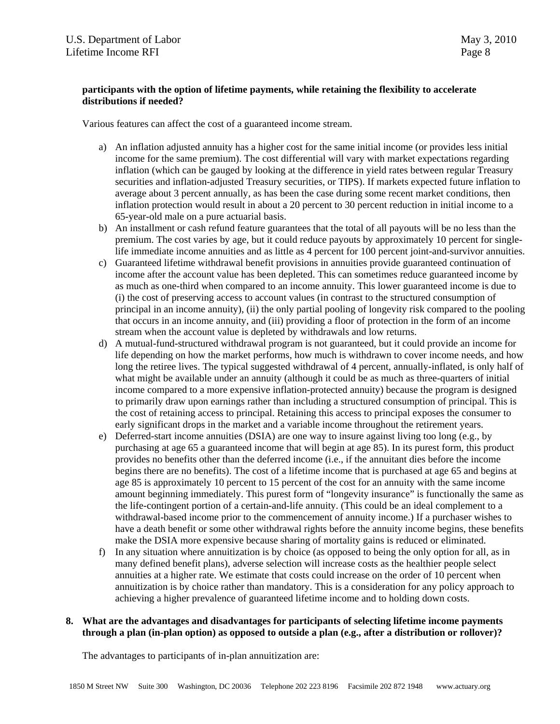#### **participants with the option of lifetime payments, while retaining the flexibility to accelerate distributions if needed?**

Various features can affect the cost of a guaranteed income stream.

- a) An inflation adjusted annuity has a higher cost for the same initial income (or provides less initial income for the same premium). The cost differential will vary with market expectations regarding inflation (which can be gauged by looking at the difference in yield rates between regular Treasury securities and inflation-adjusted Treasury securities, or TIPS). If markets expected future inflation to average about 3 percent annually, as has been the case during some recent market conditions, then inflation protection would result in about a 20 percent to 30 percent reduction in initial income to a 65-year-old male on a pure actuarial basis.
- b) An installment or cash refund feature guarantees that the total of all payouts will be no less than the premium. The cost varies by age, but it could reduce payouts by approximately 10 percent for singlelife immediate income annuities and as little as 4 percent for 100 percent joint-and-survivor annuities.
- c) Guaranteed lifetime withdrawal benefit provisions in annuities provide guaranteed continuation of income after the account value has been depleted. This can sometimes reduce guaranteed income by as much as one-third when compared to an income annuity. This lower guaranteed income is due to (i) the cost of preserving access to account values (in contrast to the structured consumption of principal in an income annuity), (ii) the only partial pooling of longevity risk compared to the pooling that occurs in an income annuity, and (iii) providing a floor of protection in the form of an income stream when the account value is depleted by withdrawals and low returns.
- d) A mutual-fund-structured withdrawal program is not guaranteed, but it could provide an income for life depending on how the market performs, how much is withdrawn to cover income needs, and how long the retiree lives. The typical suggested withdrawal of 4 percent, annually-inflated, is only half of what might be available under an annuity (although it could be as much as three-quarters of initial income compared to a more expensive inflation-protected annuity) because the program is designed to primarily draw upon earnings rather than including a structured consumption of principal. This is the cost of retaining access to principal. Retaining this access to principal exposes the consumer to early significant drops in the market and a variable income throughout the retirement years.
- e) Deferred-start income annuities (DSIA) are one way to insure against living too long (e.g., by purchasing at age 65 a guaranteed income that will begin at age 85). In its purest form, this product provides no benefits other than the deferred income (i.e., if the annuitant dies before the income begins there are no benefits). The cost of a lifetime income that is purchased at age 65 and begins at age 85 is approximately 10 percent to 15 percent of the cost for an annuity with the same income amount beginning immediately. This purest form of "longevity insurance" is functionally the same as the life-contingent portion of a certain-and-life annuity. (This could be an ideal complement to a withdrawal-based income prior to the commencement of annuity income.) If a purchaser wishes to have a death benefit or some other withdrawal rights before the annuity income begins, these benefits make the DSIA more expensive because sharing of mortality gains is reduced or eliminated.
- f) In any situation where annuitization is by choice (as opposed to being the only option for all, as in many defined benefit plans), adverse selection will increase costs as the healthier people select annuities at a higher rate. We estimate that costs could increase on the order of 10 percent when annuitization is by choice rather than mandatory. This is a consideration for any policy approach to achieving a higher prevalence of guaranteed lifetime income and to holding down costs.

# **8. What are the advantages and disadvantages for participants of selecting lifetime income payments through a plan (in-plan option) as opposed to outside a plan (e.g., after a distribution or rollover)?**

The advantages to participants of in-plan annuitization are: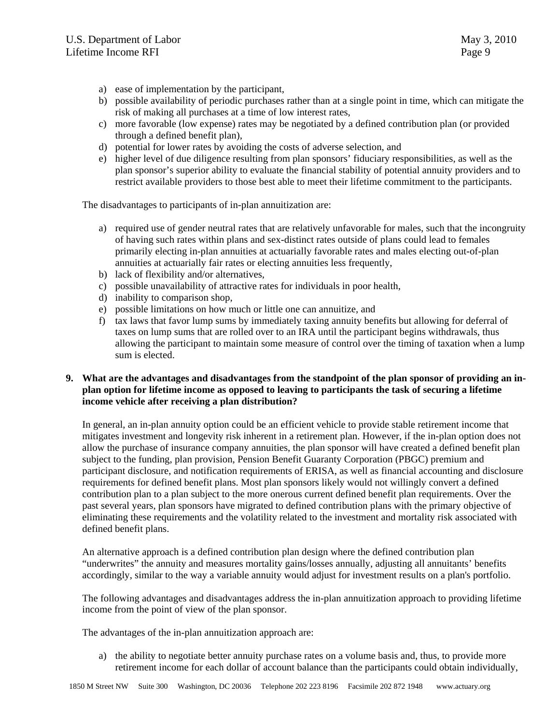- a) ease of implementation by the participant,
- b) possible availability of periodic purchases rather than at a single point in time, which can mitigate the risk of making all purchases at a time of low interest rates,
- c) more favorable (low expense) rates may be negotiated by a defined contribution plan (or provided through a defined benefit plan),
- d) potential for lower rates by avoiding the costs of adverse selection, and
- e) higher level of due diligence resulting from plan sponsors' fiduciary responsibilities, as well as the plan sponsor's superior ability to evaluate the financial stability of potential annuity providers and to restrict available providers to those best able to meet their lifetime commitment to the participants.

The disadvantages to participants of in-plan annuitization are:

- a) required use of gender neutral rates that are relatively unfavorable for males, such that the incongruity of having such rates within plans and sex-distinct rates outside of plans could lead to females primarily electing in-plan annuities at actuarially favorable rates and males electing out-of-plan annuities at actuarially fair rates or electing annuities less frequently,
- b) lack of flexibility and/or alternatives,
- c) possible unavailability of attractive rates for individuals in poor health,
- d) inability to comparison shop,
- e) possible limitations on how much or little one can annuitize, and
- f) tax laws that favor lump sums by immediately taxing annuity benefits but allowing for deferral of taxes on lump sums that are rolled over to an IRA until the participant begins withdrawals, thus allowing the participant to maintain some measure of control over the timing of taxation when a lump sum is elected.

#### **9. What are the advantages and disadvantages from the standpoint of the plan sponsor of providing an inplan option for lifetime income as opposed to leaving to participants the task of securing a lifetime income vehicle after receiving a plan distribution?**

In general, an in-plan annuity option could be an efficient vehicle to provide stable retirement income that mitigates investment and longevity risk inherent in a retirement plan. However, if the in-plan option does not allow the purchase of insurance company annuities, the plan sponsor will have created a defined benefit plan subject to the funding, plan provision, Pension Benefit Guaranty Corporation (PBGC) premium and participant disclosure, and notification requirements of ERISA, as well as financial accounting and disclosure requirements for defined benefit plans. Most plan sponsors likely would not willingly convert a defined contribution plan to a plan subject to the more onerous current defined benefit plan requirements. Over the past several years, plan sponsors have migrated to defined contribution plans with the primary objective of eliminating these requirements and the volatility related to the investment and mortality risk associated with defined benefit plans.

An alternative approach is a defined contribution plan design where the defined contribution plan "underwrites" the annuity and measures mortality gains/losses annually, adjusting all annuitants' benefits accordingly, similar to the way a variable annuity would adjust for investment results on a plan's portfolio.

The following advantages and disadvantages address the in-plan annuitization approach to providing lifetime income from the point of view of the plan sponsor.

The advantages of the in-plan annuitization approach are:

a) the ability to negotiate better annuity purchase rates on a volume basis and, thus, to provide more retirement income for each dollar of account balance than the participants could obtain individually,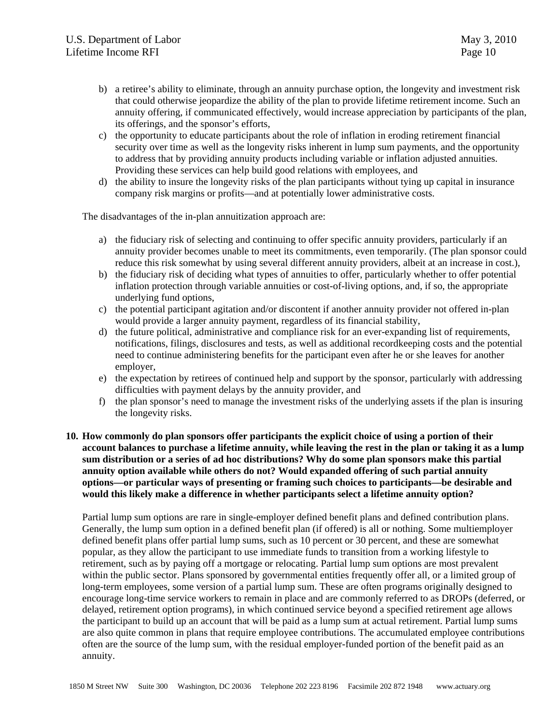- b) a retiree's ability to eliminate, through an annuity purchase option, the longevity and investment risk that could otherwise jeopardize the ability of the plan to provide lifetime retirement income. Such an annuity offering, if communicated effectively, would increase appreciation by participants of the plan, its offerings, and the sponsor's efforts,
- c) the opportunity to educate participants about the role of inflation in eroding retirement financial security over time as well as the longevity risks inherent in lump sum payments, and the opportunity to address that by providing annuity products including variable or inflation adjusted annuities. Providing these services can help build good relations with employees, and
- d) the ability to insure the longevity risks of the plan participants without tying up capital in insurance company risk margins or profits—and at potentially lower administrative costs.

The disadvantages of the in-plan annuitization approach are:

- a) the fiduciary risk of selecting and continuing to offer specific annuity providers, particularly if an annuity provider becomes unable to meet its commitments, even temporarily. (The plan sponsor could reduce this risk somewhat by using several different annuity providers, albeit at an increase in cost.),
- b) the fiduciary risk of deciding what types of annuities to offer, particularly whether to offer potential inflation protection through variable annuities or cost-of-living options, and, if so, the appropriate underlying fund options,
- c) the potential participant agitation and/or discontent if another annuity provider not offered in-plan would provide a larger annuity payment, regardless of its financial stability,
- d) the future political, administrative and compliance risk for an ever-expanding list of requirements, notifications, filings, disclosures and tests, as well as additional recordkeeping costs and the potential need to continue administering benefits for the participant even after he or she leaves for another employer,
- e) the expectation by retirees of continued help and support by the sponsor, particularly with addressing difficulties with payment delays by the annuity provider, and
- f) the plan sponsor's need to manage the investment risks of the underlying assets if the plan is insuring the longevity risks.
- **10. How commonly do plan sponsors offer participants the explicit choice of using a portion of their account balances to purchase a lifetime annuity, while leaving the rest in the plan or taking it as a lump sum distribution or a series of ad hoc distributions? Why do some plan sponsors make this partial annuity option available while others do not? Would expanded offering of such partial annuity options—or particular ways of presenting or framing such choices to participants—be desirable and would this likely make a difference in whether participants select a lifetime annuity option?**

Partial lump sum options are rare in single-employer defined benefit plans and defined contribution plans. Generally, the lump sum option in a defined benefit plan (if offered) is all or nothing. Some multiemployer defined benefit plans offer partial lump sums, such as 10 percent or 30 percent, and these are somewhat popular, as they allow the participant to use immediate funds to transition from a working lifestyle to retirement, such as by paying off a mortgage or relocating. Partial lump sum options are most prevalent within the public sector. Plans sponsored by governmental entities frequently offer all, or a limited group of long-term employees, some version of a partial lump sum. These are often programs originally designed to encourage long-time service workers to remain in place and are commonly referred to as DROPs (deferred, or delayed, retirement option programs), in which continued service beyond a specified retirement age allows the participant to build up an account that will be paid as a lump sum at actual retirement. Partial lump sums are also quite common in plans that require employee contributions. The accumulated employee contributions often are the source of the lump sum, with the residual employer-funded portion of the benefit paid as an annuity.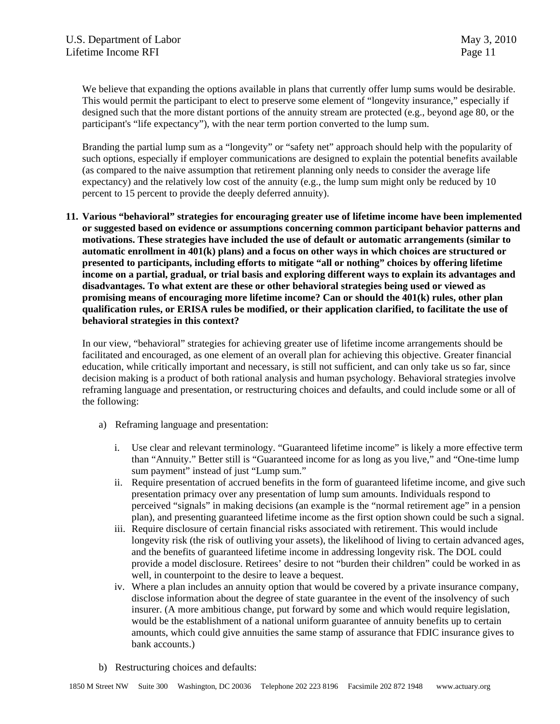We believe that expanding the options available in plans that currently offer lump sums would be desirable. This would permit the participant to elect to preserve some element of "longevity insurance," especially if designed such that the more distant portions of the annuity stream are protected (e.g., beyond age 80, or the participant's "life expectancy"), with the near term portion converted to the lump sum.

Branding the partial lump sum as a "longevity" or "safety net" approach should help with the popularity of such options, especially if employer communications are designed to explain the potential benefits available (as compared to the naive assumption that retirement planning only needs to consider the average life expectancy) and the relatively low cost of the annuity (e.g., the lump sum might only be reduced by 10 percent to 15 percent to provide the deeply deferred annuity).

**11. Various "behavioral" strategies for encouraging greater use of lifetime income have been implemented or suggested based on evidence or assumptions concerning common participant behavior patterns and motivations. These strategies have included the use of default or automatic arrangements (similar to automatic enrollment in 401(k) plans) and a focus on other ways in which choices are structured or presented to participants, including efforts to mitigate "all or nothing" choices by offering lifetime income on a partial, gradual, or trial basis and exploring different ways to explain its advantages and disadvantages. To what extent are these or other behavioral strategies being used or viewed as promising means of encouraging more lifetime income? Can or should the 401(k) rules, other plan qualification rules, or ERISA rules be modified, or their application clarified, to facilitate the use of behavioral strategies in this context?** 

In our view, "behavioral" strategies for achieving greater use of lifetime income arrangements should be facilitated and encouraged, as one element of an overall plan for achieving this objective. Greater financial education, while critically important and necessary, is still not sufficient, and can only take us so far, since decision making is a product of both rational analysis and human psychology. Behavioral strategies involve reframing language and presentation, or restructuring choices and defaults, and could include some or all of the following:

- a) Reframing language and presentation:
	- i. Use clear and relevant terminology. "Guaranteed lifetime income" is likely a more effective term than "Annuity." Better still is "Guaranteed income for as long as you live," and "One-time lump sum payment" instead of just "Lump sum."
	- ii. Require presentation of accrued benefits in the form of guaranteed lifetime income, and give such presentation primacy over any presentation of lump sum amounts. Individuals respond to perceived "signals" in making decisions (an example is the "normal retirement age" in a pension plan), and presenting guaranteed lifetime income as the first option shown could be such a signal.
	- iii. Require disclosure of certain financial risks associated with retirement. This would include longevity risk (the risk of outliving your assets), the likelihood of living to certain advanced ages, and the benefits of guaranteed lifetime income in addressing longevity risk. The DOL could provide a model disclosure. Retirees' desire to not "burden their children" could be worked in as well, in counterpoint to the desire to leave a bequest.
	- iv. Where a plan includes an annuity option that would be covered by a private insurance company, disclose information about the degree of state guarantee in the event of the insolvency of such insurer. (A more ambitious change, put forward by some and which would require legislation, would be the establishment of a national uniform guarantee of annuity benefits up to certain amounts, which could give annuities the same stamp of assurance that FDIC insurance gives to bank accounts.)
- b) Restructuring choices and defaults: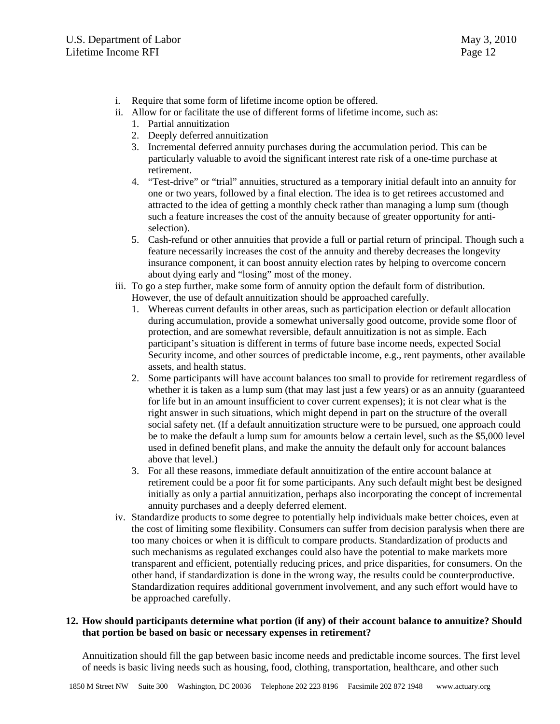- i. Require that some form of lifetime income option be offered.
- ii. Allow for or facilitate the use of different forms of lifetime income, such as:
	- 1. Partial annuitization
	- 2. Deeply deferred annuitization
	- 3. Incremental deferred annuity purchases during the accumulation period. This can be particularly valuable to avoid the significant interest rate risk of a one-time purchase at retirement.
	- 4. "Test-drive" or "trial" annuities, structured as a temporary initial default into an annuity for one or two years, followed by a final election. The idea is to get retirees accustomed and attracted to the idea of getting a monthly check rather than managing a lump sum (though such a feature increases the cost of the annuity because of greater opportunity for antiselection).
	- 5. Cash-refund or other annuities that provide a full or partial return of principal. Though such a feature necessarily increases the cost of the annuity and thereby decreases the longevity insurance component, it can boost annuity election rates by helping to overcome concern about dying early and "losing" most of the money.
- iii. To go a step further, make some form of annuity option the default form of distribution. However, the use of default annuitization should be approached carefully.
	- 1. Whereas current defaults in other areas, such as participation election or default allocation during accumulation, provide a somewhat universally good outcome, provide some floor of protection, and are somewhat reversible, default annuitization is not as simple. Each participant's situation is different in terms of future base income needs, expected Social Security income, and other sources of predictable income, e.g., rent payments, other available assets, and health status.
	- 2. Some participants will have account balances too small to provide for retirement regardless of whether it is taken as a lump sum (that may last just a few years) or as an annuity (guaranteed for life but in an amount insufficient to cover current expenses); it is not clear what is the right answer in such situations, which might depend in part on the structure of the overall social safety net. (If a default annuitization structure were to be pursued, one approach could be to make the default a lump sum for amounts below a certain level, such as the \$5,000 level used in defined benefit plans, and make the annuity the default only for account balances above that level.)
	- 3. For all these reasons, immediate default annuitization of the entire account balance at retirement could be a poor fit for some participants. Any such default might best be designed initially as only a partial annuitization, perhaps also incorporating the concept of incremental annuity purchases and a deeply deferred element.
- iv. Standardize products to some degree to potentially help individuals make better choices, even at the cost of limiting some flexibility. Consumers can suffer from decision paralysis when there are too many choices or when it is difficult to compare products. Standardization of products and such mechanisms as regulated exchanges could also have the potential to make markets more transparent and efficient, potentially reducing prices, and price disparities, for consumers. On the other hand, if standardization is done in the wrong way, the results could be counterproductive. Standardization requires additional government involvement, and any such effort would have to be approached carefully.

### **12. How should participants determine what portion (if any) of their account balance to annuitize? Should that portion be based on basic or necessary expenses in retirement?**

Annuitization should fill the gap between basic income needs and predictable income sources. The first level of needs is basic living needs such as housing, food, clothing, transportation, healthcare, and other such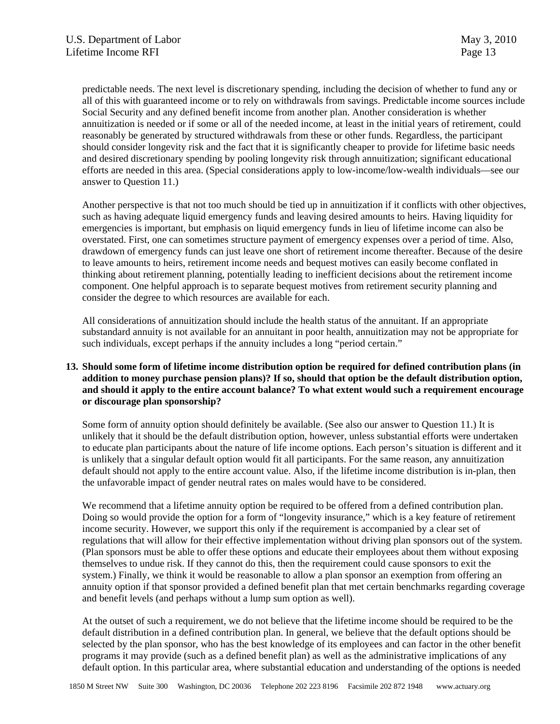predictable needs. The next level is discretionary spending, including the decision of whether to fund any or all of this with guaranteed income or to rely on withdrawals from savings. Predictable income sources include Social Security and any defined benefit income from another plan. Another consideration is whether annuitization is needed or if some or all of the needed income, at least in the initial years of retirement, could reasonably be generated by structured withdrawals from these or other funds. Regardless, the participant should consider longevity risk and the fact that it is significantly cheaper to provide for lifetime basic needs and desired discretionary spending by pooling longevity risk through annuitization; significant educational efforts are needed in this area. (Special considerations apply to low-income/low-wealth individuals—see our answer to Question 11.)

Another perspective is that not too much should be tied up in annuitization if it conflicts with other objectives, such as having adequate liquid emergency funds and leaving desired amounts to heirs. Having liquidity for emergencies is important, but emphasis on liquid emergency funds in lieu of lifetime income can also be overstated. First, one can sometimes structure payment of emergency expenses over a period of time. Also, drawdown of emergency funds can just leave one short of retirement income thereafter. Because of the desire to leave amounts to heirs, retirement income needs and bequest motives can easily become conflated in thinking about retirement planning, potentially leading to inefficient decisions about the retirement income component. One helpful approach is to separate bequest motives from retirement security planning and consider the degree to which resources are available for each.

All considerations of annuitization should include the health status of the annuitant. If an appropriate substandard annuity is not available for an annuitant in poor health, annuitization may not be appropriate for such individuals, except perhaps if the annuity includes a long "period certain."

# **13. Should some form of lifetime income distribution option be required for defined contribution plans (in addition to money purchase pension plans)? If so, should that option be the default distribution option, and should it apply to the entire account balance? To what extent would such a requirement encourage or discourage plan sponsorship?**

Some form of annuity option should definitely be available. (See also our answer to Question 11.) It is unlikely that it should be the default distribution option, however, unless substantial efforts were undertaken to educate plan participants about the nature of life income options. Each person's situation is different and it is unlikely that a singular default option would fit all participants. For the same reason, any annuitization default should not apply to the entire account value. Also, if the lifetime income distribution is in-plan, then the unfavorable impact of gender neutral rates on males would have to be considered.

We recommend that a lifetime annuity option be required to be offered from a defined contribution plan. Doing so would provide the option for a form of "longevity insurance," which is a key feature of retirement income security. However, we support this only if the requirement is accompanied by a clear set of regulations that will allow for their effective implementation without driving plan sponsors out of the system. (Plan sponsors must be able to offer these options and educate their employees about them without exposing themselves to undue risk. If they cannot do this, then the requirement could cause sponsors to exit the system.) Finally, we think it would be reasonable to allow a plan sponsor an exemption from offering an annuity option if that sponsor provided a defined benefit plan that met certain benchmarks regarding coverage and benefit levels (and perhaps without a lump sum option as well).

At the outset of such a requirement, we do not believe that the lifetime income should be required to be the default distribution in a defined contribution plan. In general, we believe that the default options should be selected by the plan sponsor, who has the best knowledge of its employees and can factor in the other benefit programs it may provide (such as a defined benefit plan) as well as the administrative implications of any default option. In this particular area, where substantial education and understanding of the options is needed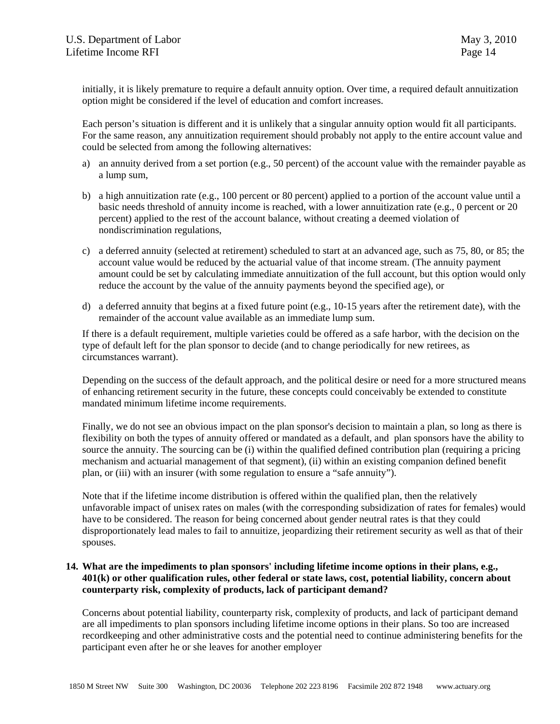initially, it is likely premature to require a default annuity option. Over time, a required default annuitization option might be considered if the level of education and comfort increases.

Each person's situation is different and it is unlikely that a singular annuity option would fit all participants. For the same reason, any annuitization requirement should probably not apply to the entire account value and could be selected from among the following alternatives:

- a) an annuity derived from a set portion (e.g., 50 percent) of the account value with the remainder payable as a lump sum,
- b) a high annuitization rate (e.g., 100 percent or 80 percent) applied to a portion of the account value until a basic needs threshold of annuity income is reached, with a lower annuitization rate (e.g., 0 percent or 20 percent) applied to the rest of the account balance, without creating a deemed violation of nondiscrimination regulations,
- c) a deferred annuity (selected at retirement) scheduled to start at an advanced age, such as 75, 80, or 85; the account value would be reduced by the actuarial value of that income stream. (The annuity payment amount could be set by calculating immediate annuitization of the full account, but this option would only reduce the account by the value of the annuity payments beyond the specified age), or
- d) a deferred annuity that begins at a fixed future point (e.g., 10-15 years after the retirement date), with the remainder of the account value available as an immediate lump sum.

If there is a default requirement, multiple varieties could be offered as a safe harbor, with the decision on the type of default left for the plan sponsor to decide (and to change periodically for new retirees, as circumstances warrant).

Depending on the success of the default approach, and the political desire or need for a more structured means of enhancing retirement security in the future, these concepts could conceivably be extended to constitute mandated minimum lifetime income requirements.

Finally, we do not see an obvious impact on the plan sponsor's decision to maintain a plan, so long as there is flexibility on both the types of annuity offered or mandated as a default, and plan sponsors have the ability to source the annuity. The sourcing can be (i) within the qualified defined contribution plan (requiring a pricing mechanism and actuarial management of that segment), (ii) within an existing companion defined benefit plan, or (iii) with an insurer (with some regulation to ensure a "safe annuity").

Note that if the lifetime income distribution is offered within the qualified plan, then the relatively unfavorable impact of unisex rates on males (with the corresponding subsidization of rates for females) would have to be considered. The reason for being concerned about gender neutral rates is that they could disproportionately lead males to fail to annuitize, jeopardizing their retirement security as well as that of their spouses.

## **14. What are the impediments to plan sponsors' including lifetime income options in their plans, e.g., 401(k) or other qualification rules, other federal or state laws, cost, potential liability, concern about counterparty risk, complexity of products, lack of participant demand?**

Concerns about potential liability, counterparty risk, complexity of products, and lack of participant demand are all impediments to plan sponsors including lifetime income options in their plans. So too are increased recordkeeping and other administrative costs and the potential need to continue administering benefits for the participant even after he or she leaves for another employer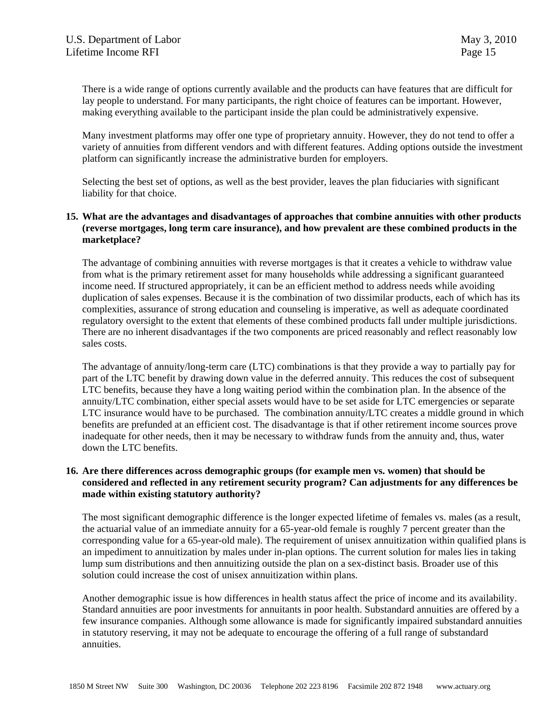There is a wide range of options currently available and the products can have features that are difficult for lay people to understand. For many participants, the right choice of features can be important. However, making everything available to the participant inside the plan could be administratively expensive.

Many investment platforms may offer one type of proprietary annuity. However, they do not tend to offer a variety of annuities from different vendors and with different features. Adding options outside the investment platform can significantly increase the administrative burden for employers.

Selecting the best set of options, as well as the best provider, leaves the plan fiduciaries with significant liability for that choice.

### **15. What are the advantages and disadvantages of approaches that combine annuities with other products (reverse mortgages, long term care insurance), and how prevalent are these combined products in the marketplace?**

The advantage of combining annuities with reverse mortgages is that it creates a vehicle to withdraw value from what is the primary retirement asset for many households while addressing a significant guaranteed income need. If structured appropriately, it can be an efficient method to address needs while avoiding duplication of sales expenses. Because it is the combination of two dissimilar products, each of which has its complexities, assurance of strong education and counseling is imperative, as well as adequate coordinated regulatory oversight to the extent that elements of these combined products fall under multiple jurisdictions. There are no inherent disadvantages if the two components are priced reasonably and reflect reasonably low sales costs.

The advantage of annuity/long-term care (LTC) combinations is that they provide a way to partially pay for part of the LTC benefit by drawing down value in the deferred annuity. This reduces the cost of subsequent LTC benefits, because they have a long waiting period within the combination plan. In the absence of the annuity/LTC combination, either special assets would have to be set aside for LTC emergencies or separate LTC insurance would have to be purchased. The combination annuity/LTC creates a middle ground in which benefits are prefunded at an efficient cost. The disadvantage is that if other retirement income sources prove inadequate for other needs, then it may be necessary to withdraw funds from the annuity and, thus, water down the LTC benefits.

#### **16. Are there differences across demographic groups (for example men vs. women) that should be considered and reflected in any retirement security program? Can adjustments for any differences be made within existing statutory authority?**

The most significant demographic difference is the longer expected lifetime of females vs. males (as a result, the actuarial value of an immediate annuity for a 65-year-old female is roughly 7 percent greater than the corresponding value for a 65-year-old male). The requirement of unisex annuitization within qualified plans is an impediment to annuitization by males under in-plan options. The current solution for males lies in taking lump sum distributions and then annuitizing outside the plan on a sex-distinct basis. Broader use of this solution could increase the cost of unisex annuitization within plans.

Another demographic issue is how differences in health status affect the price of income and its availability. Standard annuities are poor investments for annuitants in poor health. Substandard annuities are offered by a few insurance companies. Although some allowance is made for significantly impaired substandard annuities in statutory reserving, it may not be adequate to encourage the offering of a full range of substandard annuities.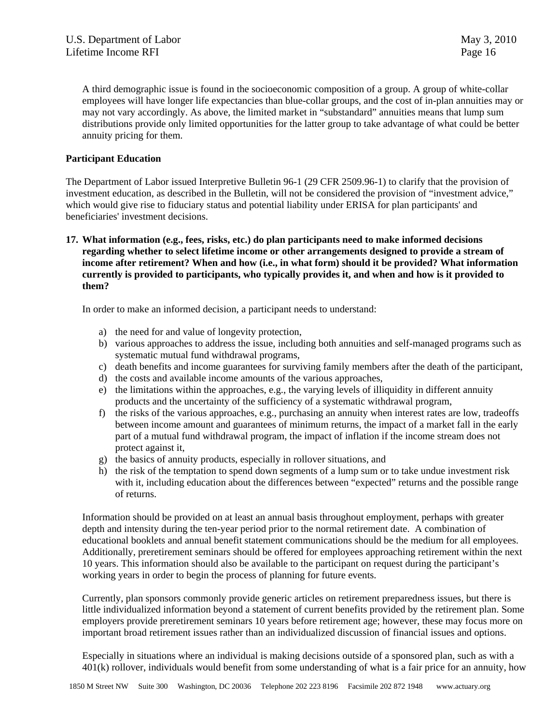A third demographic issue is found in the socioeconomic composition of a group. A group of white-collar employees will have longer life expectancies than blue-collar groups, and the cost of in-plan annuities may or may not vary accordingly. As above, the limited market in "substandard" annuities means that lump sum distributions provide only limited opportunities for the latter group to take advantage of what could be better annuity pricing for them.

## **Participant Education**

The Department of Labor issued Interpretive Bulletin 96-1 (29 CFR 2509.96-1) to clarify that the provision of investment education, as described in the Bulletin, will not be considered the provision of "investment advice," which would give rise to fiduciary status and potential liability under ERISA for plan participants' and beneficiaries' investment decisions.

**17. What information (e.g., fees, risks, etc.) do plan participants need to make informed decisions regarding whether to select lifetime income or other arrangements designed to provide a stream of income after retirement? When and how (i.e., in what form) should it be provided? What information currently is provided to participants, who typically provides it, and when and how is it provided to them?** 

In order to make an informed decision, a participant needs to understand:

- a) the need for and value of longevity protection,
- b) various approaches to address the issue, including both annuities and self-managed programs such as systematic mutual fund withdrawal programs,
- c) death benefits and income guarantees for surviving family members after the death of the participant,
- d) the costs and available income amounts of the various approaches,
- e) the limitations within the approaches, e.g., the varying levels of illiquidity in different annuity products and the uncertainty of the sufficiency of a systematic withdrawal program,
- f) the risks of the various approaches, e.g., purchasing an annuity when interest rates are low, tradeoffs between income amount and guarantees of minimum returns, the impact of a market fall in the early part of a mutual fund withdrawal program, the impact of inflation if the income stream does not protect against it,
- g) the basics of annuity products, especially in rollover situations, and
- h) the risk of the temptation to spend down segments of a lump sum or to take undue investment risk with it, including education about the differences between "expected" returns and the possible range of returns.

Information should be provided on at least an annual basis throughout employment, perhaps with greater depth and intensity during the ten-year period prior to the normal retirement date. A combination of educational booklets and annual benefit statement communications should be the medium for all employees. Additionally, preretirement seminars should be offered for employees approaching retirement within the next 10 years. This information should also be available to the participant on request during the participant's working years in order to begin the process of planning for future events.

Currently, plan sponsors commonly provide generic articles on retirement preparedness issues, but there is little individualized information beyond a statement of current benefits provided by the retirement plan. Some employers provide preretirement seminars 10 years before retirement age; however, these may focus more on important broad retirement issues rather than an individualized discussion of financial issues and options.

Especially in situations where an individual is making decisions outside of a sponsored plan, such as with a 401(k) rollover, individuals would benefit from some understanding of what is a fair price for an annuity, how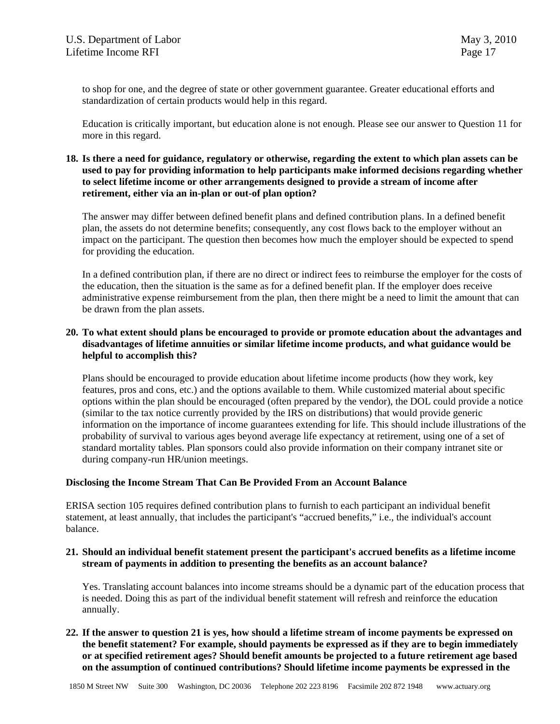to shop for one, and the degree of state or other government guarantee. Greater educational efforts and standardization of certain products would help in this regard.

Education is critically important, but education alone is not enough. Please see our answer to Question 11 for more in this regard.

#### **18. Is there a need for guidance, regulatory or otherwise, regarding the extent to which plan assets can be used to pay for providing information to help participants make informed decisions regarding whether to select lifetime income or other arrangements designed to provide a stream of income after retirement, either via an in-plan or out-of plan option?**

The answer may differ between defined benefit plans and defined contribution plans. In a defined benefit plan, the assets do not determine benefits; consequently, any cost flows back to the employer without an impact on the participant. The question then becomes how much the employer should be expected to spend for providing the education.

In a defined contribution plan, if there are no direct or indirect fees to reimburse the employer for the costs of the education, then the situation is the same as for a defined benefit plan. If the employer does receive administrative expense reimbursement from the plan, then there might be a need to limit the amount that can be drawn from the plan assets.

### **20. To what extent should plans be encouraged to provide or promote education about the advantages and disadvantages of lifetime annuities or similar lifetime income products, and what guidance would be helpful to accomplish this?**

Plans should be encouraged to provide education about lifetime income products (how they work, key features, pros and cons, etc.) and the options available to them. While customized material about specific options within the plan should be encouraged (often prepared by the vendor), the DOL could provide a notice (similar to the tax notice currently provided by the IRS on distributions) that would provide generic information on the importance of income guarantees extending for life. This should include illustrations of the probability of survival to various ages beyond average life expectancy at retirement, using one of a set of standard mortality tables. Plan sponsors could also provide information on their company intranet site or during company-run HR/union meetings.

#### **Disclosing the Income Stream That Can Be Provided From an Account Balance**

ERISA section 105 requires defined contribution plans to furnish to each participant an individual benefit statement, at least annually, that includes the participant's "accrued benefits," i.e., the individual's account balance.

#### **21. Should an individual benefit statement present the participant's accrued benefits as a lifetime income stream of payments in addition to presenting the benefits as an account balance?**

Yes. Translating account balances into income streams should be a dynamic part of the education process that is needed. Doing this as part of the individual benefit statement will refresh and reinforce the education annually.

**22. If the answer to question 21 is yes, how should a lifetime stream of income payments be expressed on the benefit statement? For example, should payments be expressed as if they are to begin immediately or at specified retirement ages? Should benefit amounts be projected to a future retirement age based on the assumption of continued contributions? Should lifetime income payments be expressed in the**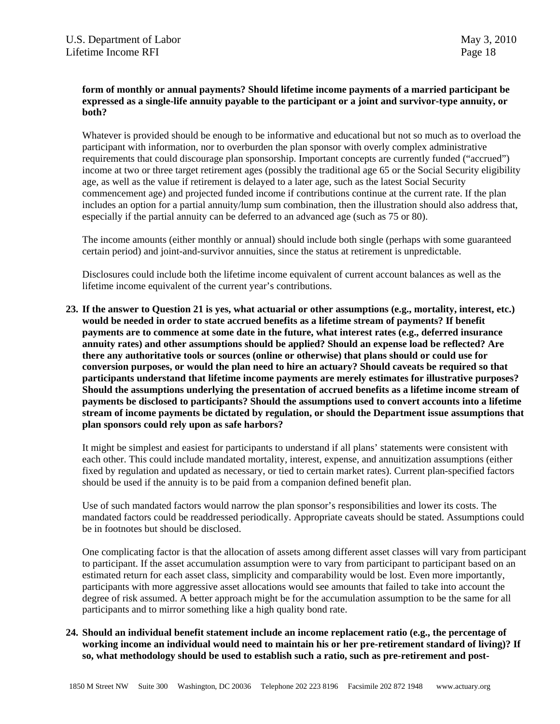## **form of monthly or annual payments? Should lifetime income payments of a married participant be expressed as a single-life annuity payable to the participant or a joint and survivor-type annuity, or both?**

Whatever is provided should be enough to be informative and educational but not so much as to overload the participant with information, nor to overburden the plan sponsor with overly complex administrative requirements that could discourage plan sponsorship. Important concepts are currently funded ("accrued") income at two or three target retirement ages (possibly the traditional age 65 or the Social Security eligibility age, as well as the value if retirement is delayed to a later age, such as the latest Social Security commencement age) and projected funded income if contributions continue at the current rate. If the plan includes an option for a partial annuity/lump sum combination, then the illustration should also address that, especially if the partial annuity can be deferred to an advanced age (such as 75 or 80).

The income amounts (either monthly or annual) should include both single (perhaps with some guaranteed certain period) and joint-and-survivor annuities, since the status at retirement is unpredictable.

Disclosures could include both the lifetime income equivalent of current account balances as well as the lifetime income equivalent of the current year's contributions.

**23. If the answer to Question 21 is yes, what actuarial or other assumptions (e.g., mortality, interest, etc.) would be needed in order to state accrued benefits as a lifetime stream of payments? If benefit payments are to commence at some date in the future, what interest rates (e.g., deferred insurance annuity rates) and other assumptions should be applied? Should an expense load be reflected? Are there any authoritative tools or sources (online or otherwise) that plans should or could use for conversion purposes, or would the plan need to hire an actuary? Should caveats be required so that participants understand that lifetime income payments are merely estimates for illustrative purposes? Should the assumptions underlying the presentation of accrued benefits as a lifetime income stream of payments be disclosed to participants? Should the assumptions used to convert accounts into a lifetime stream of income payments be dictated by regulation, or should the Department issue assumptions that plan sponsors could rely upon as safe harbors?** 

It might be simplest and easiest for participants to understand if all plans' statements were consistent with each other. This could include mandated mortality, interest, expense, and annuitization assumptions (either fixed by regulation and updated as necessary, or tied to certain market rates). Current plan-specified factors should be used if the annuity is to be paid from a companion defined benefit plan.

Use of such mandated factors would narrow the plan sponsor's responsibilities and lower its costs. The mandated factors could be readdressed periodically. Appropriate caveats should be stated. Assumptions could be in footnotes but should be disclosed.

One complicating factor is that the allocation of assets among different asset classes will vary from participant to participant. If the asset accumulation assumption were to vary from participant to participant based on an estimated return for each asset class, simplicity and comparability would be lost. Even more importantly, participants with more aggressive asset allocations would see amounts that failed to take into account the degree of risk assumed. A better approach might be for the accumulation assumption to be the same for all participants and to mirror something like a high quality bond rate.

# **24. Should an individual benefit statement include an income replacement ratio (e.g., the percentage of working income an individual would need to maintain his or her pre-retirement standard of living)? If so, what methodology should be used to establish such a ratio, such as pre-retirement and post-**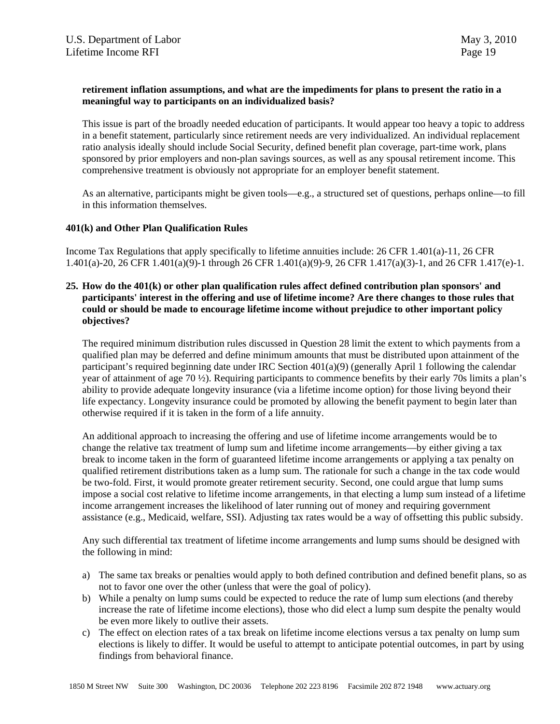### **retirement inflation assumptions, and what are the impediments for plans to present the ratio in a meaningful way to participants on an individualized basis?**

This issue is part of the broadly needed education of participants. It would appear too heavy a topic to address in a benefit statement, particularly since retirement needs are very individualized. An individual replacement ratio analysis ideally should include Social Security, defined benefit plan coverage, part-time work, plans sponsored by prior employers and non-plan savings sources, as well as any spousal retirement income. This comprehensive treatment is obviously not appropriate for an employer benefit statement.

As an alternative, participants might be given tools—e.g., a structured set of questions, perhaps online—to fill in this information themselves.

#### **401(k) and Other Plan Qualification Rules**

Income Tax Regulations that apply specifically to lifetime annuities include: 26 CFR 1.401(a)-11, 26 CFR 1.401(a)-20, 26 CFR 1.401(a)(9)-1 through 26 CFR 1.401(a)(9)-9, 26 CFR 1.417(a)(3)-1, and 26 CFR 1.417(e)-1.

#### **25. How do the 401(k) or other plan qualification rules affect defined contribution plan sponsors' and participants' interest in the offering and use of lifetime income? Are there changes to those rules that could or should be made to encourage lifetime income without prejudice to other important policy objectives?**

The required minimum distribution rules discussed in Question 28 limit the extent to which payments from a qualified plan may be deferred and define minimum amounts that must be distributed upon attainment of the participant's required beginning date under IRC Section 401(a)(9) (generally April 1 following the calendar year of attainment of age 70 ½). Requiring participants to commence benefits by their early 70s limits a plan's ability to provide adequate longevity insurance (via a lifetime income option) for those living beyond their life expectancy. Longevity insurance could be promoted by allowing the benefit payment to begin later than otherwise required if it is taken in the form of a life annuity.

An additional approach to increasing the offering and use of lifetime income arrangements would be to change the relative tax treatment of lump sum and lifetime income arrangements—by either giving a tax break to income taken in the form of guaranteed lifetime income arrangements or applying a tax penalty on qualified retirement distributions taken as a lump sum. The rationale for such a change in the tax code would be two-fold. First, it would promote greater retirement security. Second, one could argue that lump sums impose a social cost relative to lifetime income arrangements, in that electing a lump sum instead of a lifetime income arrangement increases the likelihood of later running out of money and requiring government assistance (e.g., Medicaid, welfare, SSI). Adjusting tax rates would be a way of offsetting this public subsidy.

Any such differential tax treatment of lifetime income arrangements and lump sums should be designed with the following in mind:

- a) The same tax breaks or penalties would apply to both defined contribution and defined benefit plans, so as not to favor one over the other (unless that were the goal of policy).
- b) While a penalty on lump sums could be expected to reduce the rate of lump sum elections (and thereby increase the rate of lifetime income elections), those who did elect a lump sum despite the penalty would be even more likely to outlive their assets.
- c) The effect on election rates of a tax break on lifetime income elections versus a tax penalty on lump sum elections is likely to differ. It would be useful to attempt to anticipate potential outcomes, in part by using findings from behavioral finance.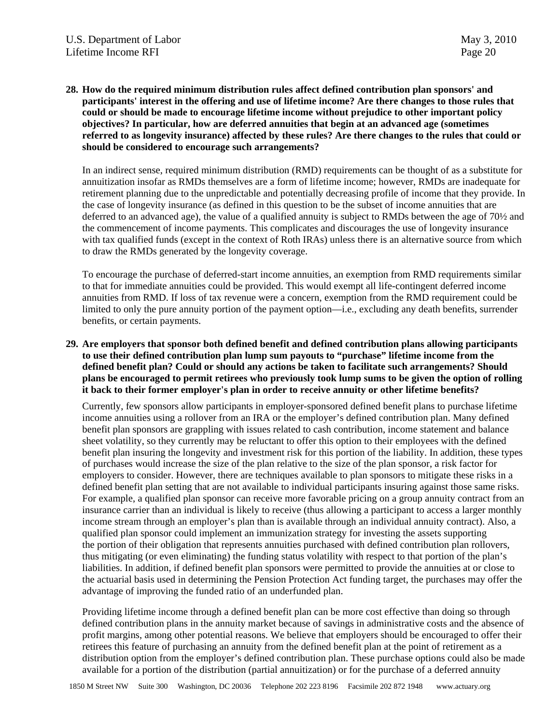**28. How do the required minimum distribution rules affect defined contribution plan sponsors' and participants' interest in the offering and use of lifetime income? Are there changes to those rules that could or should be made to encourage lifetime income without prejudice to other important policy objectives? In particular, how are deferred annuities that begin at an advanced age (sometimes referred to as longevity insurance) affected by these rules? Are there changes to the rules that could or should be considered to encourage such arrangements?** 

In an indirect sense, required minimum distribution (RMD) requirements can be thought of as a substitute for annuitization insofar as RMDs themselves are a form of lifetime income; however, RMDs are inadequate for retirement planning due to the unpredictable and potentially decreasing profile of income that they provide. In the case of longevity insurance (as defined in this question to be the subset of income annuities that are deferred to an advanced age), the value of a qualified annuity is subject to RMDs between the age of 70½ and the commencement of income payments. This complicates and discourages the use of longevity insurance with tax qualified funds (except in the context of Roth IRAs) unless there is an alternative source from which to draw the RMDs generated by the longevity coverage.

To encourage the purchase of deferred-start income annuities, an exemption from RMD requirements similar to that for immediate annuities could be provided. This would exempt all life-contingent deferred income annuities from RMD. If loss of tax revenue were a concern, exemption from the RMD requirement could be limited to only the pure annuity portion of the payment option—i.e., excluding any death benefits, surrender benefits, or certain payments.

**29. Are employers that sponsor both defined benefit and defined contribution plans allowing participants to use their defined contribution plan lump sum payouts to "purchase" lifetime income from the defined benefit plan? Could or should any actions be taken to facilitate such arrangements? Should plans be encouraged to permit retirees who previously took lump sums to be given the option of rolling it back to their former employer's plan in order to receive annuity or other lifetime benefits?** 

Currently, few sponsors allow participants in employer-sponsored defined benefit plans to purchase lifetime income annuities using a rollover from an IRA or the employer's defined contribution plan. Many defined benefit plan sponsors are grappling with issues related to cash contribution, income statement and balance sheet volatility, so they currently may be reluctant to offer this option to their employees with the defined benefit plan insuring the longevity and investment risk for this portion of the liability. In addition, these types of purchases would increase the size of the plan relative to the size of the plan sponsor, a risk factor for employers to consider. However, there are techniques available to plan sponsors to mitigate these risks in a defined benefit plan setting that are not available to individual participants insuring against those same risks. For example, a qualified plan sponsor can receive more favorable pricing on a group annuity contract from an insurance carrier than an individual is likely to receive (thus allowing a participant to access a larger monthly income stream through an employer's plan than is available through an individual annuity contract). Also, a qualified plan sponsor could implement an immunization strategy for investing the assets supporting the portion of their obligation that represents annuities purchased with defined contribution plan rollovers, thus mitigating (or even eliminating) the funding status volatility with respect to that portion of the plan's liabilities. In addition, if defined benefit plan sponsors were permitted to provide the annuities at or close to the actuarial basis used in determining the Pension Protection Act funding target, the purchases may offer the advantage of improving the funded ratio of an underfunded plan.

Providing lifetime income through a defined benefit plan can be more cost effective than doing so through defined contribution plans in the annuity market because of savings in administrative costs and the absence of profit margins, among other potential reasons. We believe that employers should be encouraged to offer their retirees this feature of purchasing an annuity from the defined benefit plan at the point of retirement as a distribution option from the employer's defined contribution plan. These purchase options could also be made available for a portion of the distribution (partial annuitization) or for the purchase of a deferred annuity